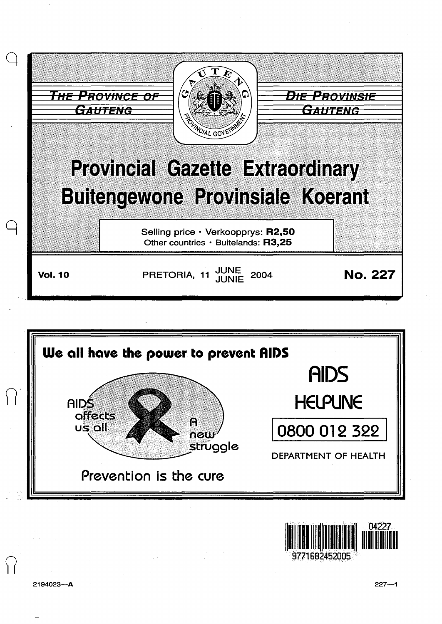





2194023-A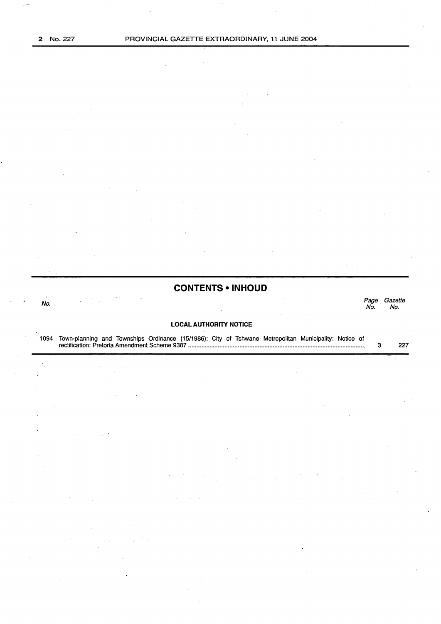$\omega =$ 

## **CONTENTS • INHOUD**

No. Page Gazette Page Gazette<br>No. No.

### **LOCAL AUTHORITY NOTICE**

1094 Town-planning and Townships Ordinance (15/1986): City of Tshwane Metropolitan Municipality: Notice of rectification: Pretoria Amendment Scheme 9387 .......................................................................................................... . 3 227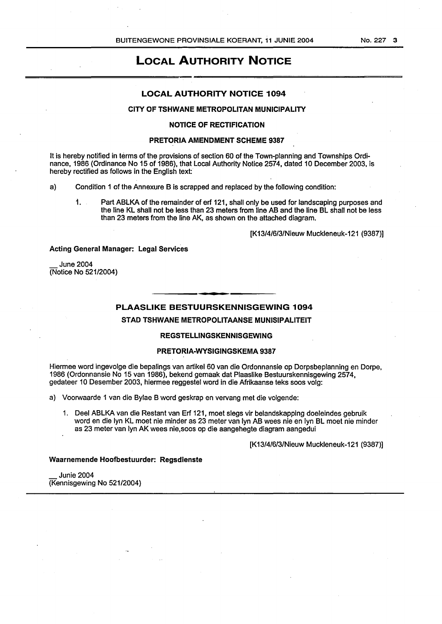# LOCAL AUTHORITY NOTICE

## LOCAL AUTHORITY NOTICE 1094

## CITY OF TSHWANE METROPOLITAN MUNICIPALITY

#### NOTICE OF RECTIFICATION

#### PRETORIA AMENDMENT SCHEME 9387

It is hereby notified in terms of the provisions of section 60 of the Town-planning and Townships Ordinance, 1986 (Ordinance No 15 of 1986), that Local Authority Notice 2574, dated 10 December 2003, is hereby rectified as follows in the English text:

a) Condition 1 of the Annexure B is scrapped and replaced by the following condition:

1. Part ABLKA of the remainder of erf 121, shall only be used for landscaping purposes and the line KL shall not be less than 23 meters from line AB and the line BL shall not be less than 23 meters from the line AK, as shown on the attached diagram.

[K13/4/6/3/Nieuw Muckleneuk-121 (9387)]

#### Acting General Manager: Legal Services

June 2004 (Notice No 521/2004)

## PLAASLIKE BESTUURSKENNISGEWING 1094

STAD TSHWANE METROPOLITAANSE MUNISIPALITEIT

## REGSTELLINGSKENNISGEWING

#### PRETORIA-WYSIGINGSKEMA 9387

Hiermee word ingevolge die bepalings van artikel 60 van die Ordonnansie op Dorpsbeplanning en Dorpe, 1986 (Ordonnansie No 15 van 1986), bekend gemaak dat Plaaslike Bestuurskennisgewing 2574, gedateer 10 Desember 2003, hiermee reggestel word in die Afrikaanse teks soos volg:

- a) Voorwaarde 1 van die Bylae B word geskrap en vervang met die volgende:
	- 1. Deel ABLKA van die Restant van Erf 121, meet slegs vir belandskapping doeleindes gebruik word en die lyn KL meet nie minder as 23 meter van lyn AB wees nie en lyn BL meet nie minder as 23 meter van lyn AK wees nie,soos op die aangehegte diagram aangedui

[K13/4/6/3/Nieuw Muckleneuk-121 (9387)]

#### Waarnemende Hoofbestuurder: Regsdienste

Junie 2004 (Kennisgewing No 521/2004)